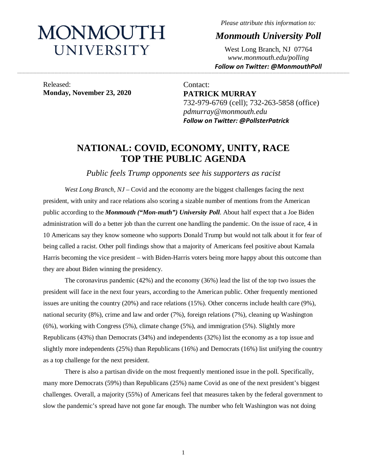# MONMOUTH UNIVERSITY

*Please attribute this information to:*

*Monmouth University Poll*

West Long Branch, NJ 07764 *www.monmouth.edu/polling Follow on Twitter: @MonmouthPoll*

Released: **Monday, November 23, 2020**

Contact: **PATRICK MURRAY** 732-979-6769 (cell); 732-263-5858 (office) *pdmurray@monmouth.edu Follow on Twitter: @PollsterPatrick*

## **NATIONAL: COVID, ECONOMY, UNITY, RACE TOP THE PUBLIC AGENDA**

**\_\_\_\_\_\_\_\_\_\_\_\_\_\_\_\_\_\_\_\_\_\_\_\_\_\_\_\_\_\_\_\_\_\_\_\_\_\_\_\_\_\_\_\_\_\_\_\_\_\_\_\_\_\_\_\_\_\_\_\_\_\_\_\_\_\_\_\_\_\_\_\_\_\_\_\_\_\_\_\_\_\_\_\_\_\_\_\_\_\_\_\_\_\_\_\_\_\_\_\_\_\_\_\_\_\_\_\_\_\_\_\_\_\_\_\_\_\_\_\_\_\_\_\_\_\_\_\_\_\_\_\_\_\_\_\_\_\_\_\_\_\_\_\_\_\_\_\_\_\_\_\_\_\_\_\_\_\_\_\_\_\_\_\_\_\_\_\_\_\_\_\_\_\_\_\_\_\_\_\_\_\_\_\_\_\_\_\_\_\_\_\_\_\_\_\_\_\_\_\_\_\_\_\_\_\_\_\_\_\_\_\_\_\_\_\_\_\_\_\_\_\_\_\_\_\_\_\_\_\_\_\_\_\_\_\_\_\_\_\_\_\_\_\_\_\_\_\_\_\_\_\_\_\_\_\_\_\_\_\_\_\_\_\_\_\_\_\_\_\_\_\_\_\_\_\_\_**

*Public feels Trump opponents see his supporters as racist*

*West Long Branch, NJ* – Covid and the economy are the biggest challenges facing the next president, with unity and race relations also scoring a sizable number of mentions from the American public according to the *Monmouth ("Mon-muth") University Poll*. About half expect that a Joe Biden administration will do a better job than the current one handling the pandemic. On the issue of race, 4 in 10 Americans say they know someone who supports Donald Trump but would not talk about it for fear of being called a racist. Other poll findings show that a majority of Americans feel positive about Kamala Harris becoming the vice president – with Biden-Harris voters being more happy about this outcome than they are about Biden winning the presidency.

The coronavirus pandemic (42%) and the economy (36%) lead the list of the top two issues the president will face in the next four years, according to the American public. Other frequently mentioned issues are uniting the country (20%) and race relations (15%). Other concerns include health care (9%), national security (8%), crime and law and order (7%), foreign relations (7%), cleaning up Washington (6%), working with Congress (5%), climate change (5%), and immigration (5%). Slightly more Republicans (43%) than Democrats (34%) and independents (32%) list the economy as a top issue and slightly more independents (25%) than Republicans (16%) and Democrats (16%) list unifying the country as a top challenge for the next president.

There is also a partisan divide on the most frequently mentioned issue in the poll. Specifically, many more Democrats (59%) than Republicans (25%) name Covid as one of the next president's biggest challenges. Overall, a majority (55%) of Americans feel that measures taken by the federal government to slow the pandemic's spread have not gone far enough. The number who felt Washington was not doing

1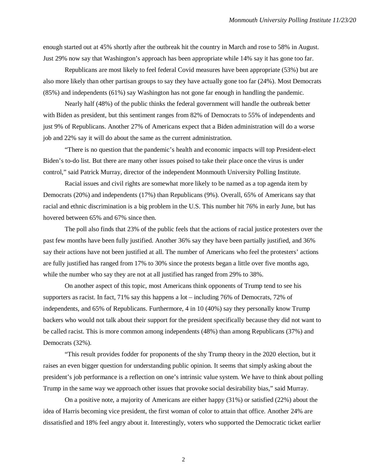enough started out at 45% shortly after the outbreak hit the country in March and rose to 58% in August. Just 29% now say that Washington's approach has been appropriate while 14% say it has gone too far.

Republicans are most likely to feel federal Covid measures have been appropriate (53%) but are also more likely than other partisan groups to say they have actually gone too far (24%). Most Democrats (85%) and independents (61%) say Washington has not gone far enough in handling the pandemic.

Nearly half (48%) of the public thinks the federal government will handle the outbreak better with Biden as president, but this sentiment ranges from 82% of Democrats to 55% of independents and just 9% of Republicans. Another 27% of Americans expect that a Biden administration will do a worse job and 22% say it will do about the same as the current administration.

"There is no question that the pandemic's health and economic impacts will top President-elect Biden's to-do list. But there are many other issues poised to take their place once the virus is under control," said Patrick Murray, director of the independent Monmouth University Polling Institute.

Racial issues and civil rights are somewhat more likely to be named as a top agenda item by Democrats (20%) and independents (17%) than Republicans (9%). Overall, 65% of Americans say that racial and ethnic discrimination is a big problem in the U.S. This number hit 76% in early June, but has hovered between 65% and 67% since then.

The poll also finds that 23% of the public feels that the actions of racial justice protesters over the past few months have been fully justified. Another 36% say they have been partially justified, and 36% say their actions have not been justified at all. The number of Americans who feel the protesters' actions are fully justified has ranged from 17% to 30% since the protests began a little over five months ago, while the number who say they are not at all justified has ranged from 29% to 38%.

On another aspect of this topic, most Americans think opponents of Trump tend to see his supporters as racist. In fact, 71% say this happens a lot – including 76% of Democrats, 72% of independents, and 65% of Republicans. Furthermore, 4 in 10 (40%) say they personally know Trump backers who would not talk about their support for the president specifically because they did not want to be called racist. This is more common among independents (48%) than among Republicans (37%) and Democrats (32%).

"This result provides fodder for proponents of the shy Trump theory in the 2020 election, but it raises an even bigger question for understanding public opinion. It seems that simply asking about the president's job performance is a reflection on one's intrinsic value system. We have to think about polling Trump in the same way we approach other issues that provoke social desirability bias," said Murray.

On a positive note, a majority of Americans are either happy (31%) or satisfied (22%) about the idea of Harris becoming vice president, the first woman of color to attain that office. Another 24% are dissatisfied and 18% feel angry about it. Interestingly, voters who supported the Democratic ticket earlier

2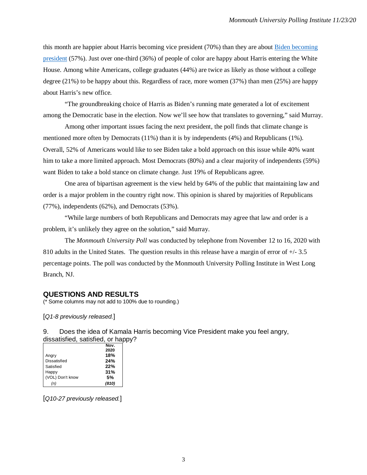this month are happier about Harris becoming vice president (70%) than they are about [Biden becoming](https://www.monmouth.edu/polling-institute/reports/monmouthpoll_us_111820/#Question8)  [president](https://www.monmouth.edu/polling-institute/reports/monmouthpoll_us_111820/#Question8) (57%). Just over one-third (36%) of people of color are happy about Harris entering the White House. Among white Americans, college graduates (44%) are twice as likely as those without a college degree (21%) to be happy about this. Regardless of race, more women (37%) than men (25%) are happy about Harris's new office.

"The groundbreaking choice of Harris as Biden's running mate generated a lot of excitement among the Democratic base in the election. Now we'll see how that translates to governing," said Murray.

Among other important issues facing the next president, the poll finds that climate change is mentioned more often by Democrats (11%) than it is by independents (4%) and Republicans (1%). Overall, 52% of Americans would like to see Biden take a bold approach on this issue while 40% want him to take a more limited approach. Most Democrats (80%) and a clear majority of independents (59%) want Biden to take a bold stance on climate change. Just 19% of Republicans agree.

One area of bipartisan agreement is the view held by 64% of the public that maintaining law and order is a major problem in the country right now. This opinion is shared by majorities of Republicans (77%), independents (62%), and Democrats (53%).

"While large numbers of both Republicans and Democrats may agree that law and order is a problem, it's unlikely they agree on the solution," said Murray.

The *Monmouth University Poll* was conducted by telephone from November 12 to 16, 2020 with 810 adults in the United States. The question results in this release have a margin of error of +/- 3.5 percentage points. The poll was conducted by the Monmouth University Polling Institute in West Long Branch, NJ.

#### **QUESTIONS AND RESULTS**

(\* Some columns may not add to 100% due to rounding.)

[*Q1-8 previously released.*]

9. Does the idea of Kamala Harris becoming Vice President make you feel angry, dissatisfied, satisfied, or happy?

|                     | Nov.  |
|---------------------|-------|
|                     | 2020  |
| Angry               | 18%   |
| <b>Dissatisfied</b> | 24%   |
| Satisfied           | 22%   |
| Happy               | 31%   |
| (VOL) Don't know    | .5%   |
| (n)                 | (810) |

[*Q10-27 previously released.*]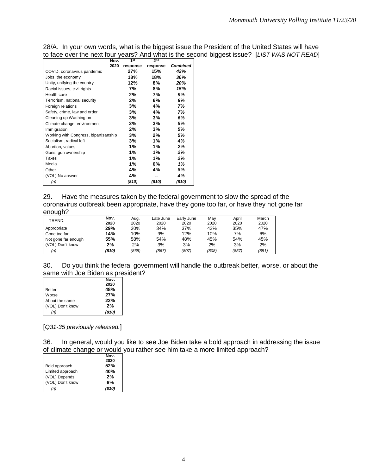| <u>to lace over the HeAt Iour veals: Ally what is the se</u> |          |          |                 |
|--------------------------------------------------------------|----------|----------|-----------------|
| Nov.                                                         | 1st      | 2nd      |                 |
| 2020                                                         | response | response | <b>Combined</b> |
| COVID, coronavirus pandemic                                  | 27%      | 15%      | 42%             |
| Jobs, the economy                                            | 18%      | 18%      | 36%             |
| Unity, unifying the country                                  | 12%      | 8%       | 20%             |
| Racial issues, civil rights                                  | 7%       | 8%       | 15%             |
| Health care                                                  | 2%       | 7%       | 9%              |
| Terrorism, national security                                 | 2%       | 6%       | 8%              |
| Foreign relations                                            | 3%       | 4%       | 7%              |
| Safety, crime, law and order                                 | 3%       | 4%       | 7%              |
| Cleaning up Washington                                       | 3%       | 3%       | 6%              |
| Climate change, environment                                  | 2%       | 3%       | 5%              |
| Immigration                                                  | 2%       | 3%       | 5%              |
| Working with Congress, bipartisanship                        | 3%       | 2%       | 5%              |
| Socialism, radical left                                      | 3%       | 1%       | 4%              |
| Abortion, values                                             | 1%       | 1%       | 2%              |
| Guns, gun ownership                                          | 1%       | 1%       | 2%              |
| Taxes                                                        | 1%       | 1%       | 2%              |
| Media                                                        | 1%       | 0%       | 1%              |
| Other                                                        | 4%       | 4%       | 8%              |
| (VOL) No answer                                              | 4%       |          | 4%              |
| (n)                                                          | (810)    | (810)    | (810)           |
|                                                              |          |          |                 |

28/A. In your own words, what is the biggest issue the President of the United States will have to face over the next four years? And what is the second biggest issue? [*LIST WAS NOT READ*]

| 29.     | Have the measures taken by the federal government to slow the spread of the              |
|---------|------------------------------------------------------------------------------------------|
|         | coronavirus outbreak been appropriate, have they gone too far, or have they not gone far |
| enough? |                                                                                          |

| $\overline{\phantom{a}}$ | Nov.  | Aug.  | Late June | Early June | May   | April | March |
|--------------------------|-------|-------|-----------|------------|-------|-------|-------|
| TREND:                   | 2020  | 2020  | 2020      | 2020       | 2020  | 2020  | 2020  |
| Appropriate              | 29%   | 30%   | 34%       | 37%        | 42%   | 35%   | 47%   |
| Gone too far             | 14%   | 10%   | 9%        | 12%        | 10%   | 7%    | 6%    |
| Not gone far enough      | 55%   | 58%   | 54%       | 48%        | 45%   | 54%   | 45%   |
| (VOL) Don't know         | 2%    | 2%    | 3%        | 3%         | 2%    | 3%    | 2%    |
| (n)                      | (810) | (868) | (867)     | (807)      | (808) | (857) | (851) |

| 30. Do you think the federal government will handle the outbreak better, worse, or about the |  |  |  |
|----------------------------------------------------------------------------------------------|--|--|--|
| same with Joe Biden as president?                                                            |  |  |  |

|                  | Nov.  |
|------------------|-------|
|                  | 2020  |
| Better           | 48%   |
| Worse            | 27%   |
| About the same   | 22%   |
| (VOL) Don't know | 2%    |
| (n)              | (810) |

[*Q31-35 previously released.*]

36. In general, would you like to see Joe Biden take a bold approach in addressing the issue of climate change or would you rather see him take a more limited approach?

|                  | Nov.  |
|------------------|-------|
|                  | 2020  |
| Bold approach    | 52%   |
| Limited approach | 40%   |
| (VOL) Depends    | 2%    |
| (VOL) Don't know | 6%    |
| (n)              | (810) |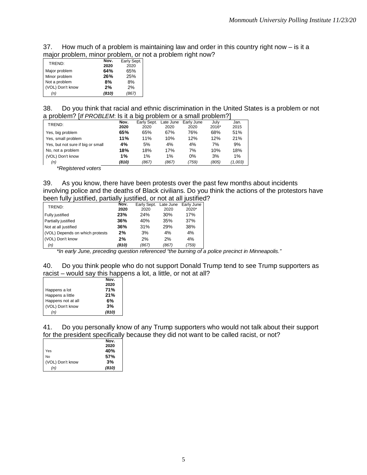37. How much of a problem is maintaining law and order in this country right now – is it a major problem, minor problem, or not a problem right now?

| TREND:           | Nov.  | Early Sept. |
|------------------|-------|-------------|
|                  | 2020  | 2020        |
| Major problem    | 64%   | 65%         |
| Minor problem    | 26%   | 25%         |
| Not a problem    | 8%    | 8%          |
| (VOL) Don't know | 2%    | 2%          |
| (n)              | (810) | (867)       |

| 38. Do you think that racial and ethnic discrimination in the United States is a problem or not |
|-------------------------------------------------------------------------------------------------|
| a problem? [If PROBLEM: Is it a big problem or a small problem?]                                |

| TREND:                            | Nov.   | Early Sept. | Late June | Early June | July  | Jan.    |
|-----------------------------------|--------|-------------|-----------|------------|-------|---------|
|                                   | 2020   | 2020        | 2020      | 2020       | 2016* | 2015    |
| Yes, big problem                  | 65%    | 65%         | 67%       | 76%        | 68%   | 51%     |
| Yes, small problem                | 11%    | 11%         | 10%       | 12%        | 12%   | 21%     |
| Yes, but not sure if big or small | 4%     | 5%          | 4%        | 4%         | 7%    | 9%      |
| No, not a problem                 | 18%    | 18%         | 17%       | 7%         | 10%   | 18%     |
| (VOL) Don't know                  | 1%     | 1%          | 1%        | $0\%$      | 3%    | 1%      |
| (n)                               | (810)  | (867)       | (867)     | (759)      | (805) | (1,003) |
| $-$<br>. .                        | $\sim$ |             |           |            |       |         |

*\*Registered voters*

39. As you know, there have been protests over the past few months about incidents involving police and the deaths of Black civilians. Do you think the actions of the protestors have been fully justified, partially justified, or not at all justified?

|                 |        |                                                                                                    |       | Late June | Early June                                                               |
|-----------------|--------|----------------------------------------------------------------------------------------------------|-------|-----------|--------------------------------------------------------------------------|
|                 |        | 2020                                                                                               | 2020  | 2020      | $2020*$                                                                  |
| Fully justified |        | 23%                                                                                                | 24%   | 30%       | 17%                                                                      |
|                 |        | 36%                                                                                                | 40%   | 35%       | 37%                                                                      |
|                 |        | 36%                                                                                                | 31%   | 29%       | 38%                                                                      |
|                 |        | 2%                                                                                                 | 3%    | 4%        | 4%                                                                       |
|                 |        | 2%                                                                                                 | 2%    | 2%        | 4%                                                                       |
| (n)             |        | (810)                                                                                              | (867) | (867)     | (759)                                                                    |
|                 | TREND: | Partially justified<br>Not at all justified<br>(VOL) Depends on which protests<br>(VOL) Don't know |       | Nov.      | bcon runy juonnoa, parnany juonnoa, oi riot at air juonno<br>Early Sept. |

*\*In early June, preceding question referenced "the burning of a police precinct in Minneapolis."*

40. Do you think people who do not support Donald Trump tend to see Trump supporters as racist – would say this happens a lot, a little, or not at all?

|                    | Nov.  |
|--------------------|-------|
|                    | 2020  |
| Happens a lot      | 71%   |
| Happens a little   | 21%   |
| Happens not at all | 6%    |
| (VOL) Don't know   | 3%    |
| (n)                | (810) |

41. Do you personally know of any Trump supporters who would not talk about their support for the president specifically because they did not want to be called racist, or not?

|                  | Nov.  |
|------------------|-------|
|                  | 2020  |
| Yes              | 40%   |
| No               | 57%   |
| (VOL) Don't know | 3%    |
| (n)              | (810) |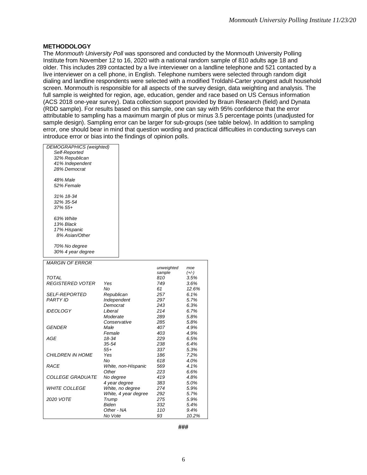#### **METHODOLOGY**

The *Monmouth University Poll* was sponsored and conducted by the Monmouth University Polling Institute from November 12 to 16, 2020 with a national random sample of 810 adults age 18 and older. This includes 289 contacted by a live interviewer on a landline telephone and 521 contacted by a live interviewer on a cell phone, in English. Telephone numbers were selected through random digit dialing and landline respondents were selected with a modified Troldahl-Carter youngest adult household screen. Monmouth is responsible for all aspects of the survey design, data weighting and analysis. The full sample is weighted for region, age, education, gender and race based on US Census information (ACS 2018 one-year survey). Data collection support provided by Braun Research (field) and Dynata (RDD sample). For results based on this sample, one can say with 95% confidence that the error attributable to sampling has a maximum margin of plus or minus 3.5 percentage points (unadjusted for sample design). Sampling error can be larger for sub-groups (see table below). In addition to sampling error, one should bear in mind that question wording and practical difficulties in conducting surveys can introduce error or bias into the findings of opinion polls.

| <b>DEMOGRAPHICS</b> (weighted) |                      |            |         |
|--------------------------------|----------------------|------------|---------|
| Self-Reported                  |                      |            |         |
| 32% Republican                 |                      |            |         |
| 41% Independent                |                      |            |         |
| 28% Democrat                   |                      |            |         |
| 48% Male                       |                      |            |         |
| 52% Female                     |                      |            |         |
| 31% 18-34                      |                      |            |         |
| 32% 35-54                      |                      |            |         |
| 37% 55+                        |                      |            |         |
| 63% White                      |                      |            |         |
| 13% Black                      |                      |            |         |
| 17% Hispanic                   |                      |            |         |
| 8% Asian/Other                 |                      |            |         |
| 70% No degree                  |                      |            |         |
| 30% 4 year degree              |                      |            |         |
| <b>MARGIN OF ERROR</b>         |                      |            |         |
|                                |                      | unweighted | moe     |
|                                |                      | sample     | $(+/-)$ |
| TOTAL                          |                      | 810        | 3.5%    |
| <b>REGISTERED VOTER</b>        | Yes                  | 749        | 3.6%    |
|                                | No                   | 61         | 12.6%   |
| <i>SELF-REPORTED</i>           | Republican           | 257        | 6.1%    |
| <b>PARTY ID</b>                | Independent          | 297        | 5.7%    |
|                                | Democrat             | 243        | 6.3%    |
| <b>IDEOLOGY</b>                | Liberal              | 214        | 6.7%    |
|                                | Moderate             | 289        | 5.8%    |
|                                | Conservative         | 285        | 5.8%    |
| <b>GENDER</b>                  | Male                 | 407        | 4.9%    |
|                                | Female               | 403        | 4.9%    |
| AGE                            | 18-34                | 229        | 6.5%    |
|                                | 35-54                | 238        | 6.4%    |
|                                | $55+$                | 337        | 5.3%    |
| <b>CHILDREN IN HOME</b>        | Yes                  | 186        | 7.2%    |
|                                | No                   | 618        | 4.0%    |
| <b>RACE</b>                    | White, non-Hispanic  | 569        | 4.1%    |
|                                | Other                | 223        | 6.6%    |
| <b>COLLEGE GRADUATE</b>        | No degree            | 419        | 4.8%    |
|                                | 4 year degree        | 383        | 5.0%    |
| <b>WHITE COLLEGE</b>           | White, no degree     | 274        | 5.9%    |
|                                | White, 4 year degree | 292        | 5.7%    |
| 2020 VOTE                      | Trump                | 275        | 5.9%    |
|                                | <b>Biden</b>         | 332        | 5.4%    |
|                                | Other - NA           | 110        | 9.4%    |
|                                | No Vote              | 93         | 10.2%   |

**###**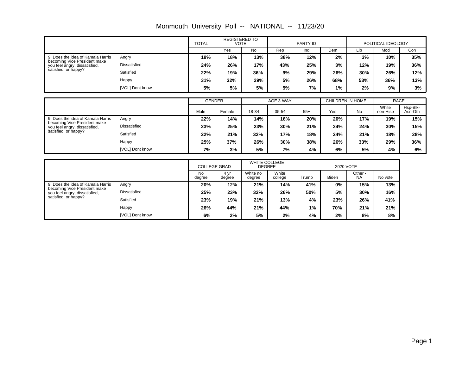|                                                                   |                     | <b>TOTAL</b>        |                | <b>REGISTERED TO</b><br><b>VOTE</b>   |                  | PARTY ID |                  |                      | POLITICAL IDEOLOGY |                     |
|-------------------------------------------------------------------|---------------------|---------------------|----------------|---------------------------------------|------------------|----------|------------------|----------------------|--------------------|---------------------|
|                                                                   |                     |                     | Yes            | <b>No</b>                             | Rep              | Ind      | Dem              | Lib                  | Mod                | Con                 |
| 9. Does the idea of Kamala Harris                                 | Angry               | 18%                 | 18%            | 13%                                   | 38%              | 12%      | 2%               | 3%                   | 10%                | 35%                 |
| becoming Vice President make<br>you feel angry, dissatisfied,     | <b>Dissatisfied</b> | 24%                 | 26%            | 17%                                   | 43%              | 25%      | 3%               | 12%                  | 19%                | 36%                 |
| satisfied, or happy?                                              | Satisfied           | 22%                 | 19%            | 36%                                   | 9%               | 29%      | 26%              | 30%                  | 26%                | 12%                 |
|                                                                   | Happy               | 31%                 | 32%            | 29%                                   | 5%               | 26%      | 68%              | 53%                  | 36%                | 13%                 |
|                                                                   | [VOL] Dont know     | 5%                  | 5%             | 5%                                    | 5%               | 7%       | 1%               | 2%                   | 9%                 | 3%                  |
|                                                                   |                     |                     |                |                                       |                  |          |                  |                      |                    |                     |
|                                                                   |                     | <b>GENDER</b>       |                |                                       | AGE 3-WAY        |          | CHILDREN IN HOME |                      |                    | <b>RACE</b>         |
|                                                                   |                     | Male                | Female         | 18-34                                 | 35-54            | $55+$    | Yes              | <b>No</b>            | White<br>non-Hisp  | Hsp-Blk-<br>Asn-Oth |
| 9. Does the idea of Kamala Harris<br>becoming Vice President make | Angry               | 22%                 | 14%            | 14%                                   | 16%              | 20%      | 20%              | 17%                  | 19%                | 15%                 |
| you feel angry, dissatisfied,                                     | <b>Dissatisfied</b> | 23%                 | 25%            | 23%                                   | 30%              | 21%      | 24%              | 24%                  | 30%                | 15%                 |
| satisfied, or happy?                                              | Satisfied           | 22%                 | 21%            | 32%                                   | 17%              | 18%      | 24%              | 21%                  | 18%                | 28%                 |
|                                                                   | Happy               | 25%                 | 37%            | 26%                                   | 30%              | 38%      | 26%              | 33%                  | 29%                | 36%                 |
|                                                                   | [VOL] Dont know     | 7%                  | 3%             | 5%                                    | 7%               | 4%       | 6%               | 5%                   | 4%                 | 6%                  |
|                                                                   |                     |                     |                |                                       |                  |          |                  |                      |                    |                     |
|                                                                   |                     | <b>COLLEGE GRAD</b> |                | <b>WHITE COLLEGE</b><br><b>DEGREE</b> |                  |          | 2020 VOTE        |                      |                    |                     |
|                                                                   |                     | <b>No</b><br>degree | 4 yr<br>degree | White no<br>degree                    | White<br>college | Trump    | Biden            | Other -<br><b>NA</b> | No vote            |                     |
| 9. Does the idea of Kamala Harris                                 | Angry               | 20%                 | 12%            | 21%                                   | 14%              | 41%      | 0%               | 15%                  | 13%                |                     |
| becoming Vice President make<br>you feel angry, dissatisfied,     | <b>Dissatisfied</b> | 25%                 | 23%            | 32%                                   | 26%              | 50%      | 5%               | 30%                  | 16%                |                     |
| satisfied, or happy?                                              | Satisfied           | 23%                 | 19%            | 21%                                   | 13%              | 4%       | 23%              | 26%                  | 41%                |                     |

**6% 2% 5% 2% 4% 2% 8% 8% 26% 44% 21% 44% 1% 70% 21% 21%**

Happy

[VOL] Dont know

Monmouth University Poll -- NATIONAL -- 11/23/20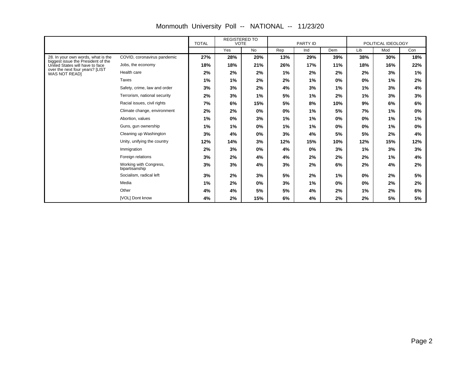|                                                                       |                                          | <b>TOTAL</b> | <b>REGISTERED TO</b><br><b>VOTE</b> |           | PARTY ID |     |       | POLITICAL IDEOLOGY |     |     |
|-----------------------------------------------------------------------|------------------------------------------|--------------|-------------------------------------|-----------|----------|-----|-------|--------------------|-----|-----|
|                                                                       |                                          |              | Yes                                 | <b>No</b> | Rep      | Ind | Dem   | Lib                | Mod | Con |
| 28. In your own words, what is the                                    | COVID, coronavirus pandemic              | 27%          | 28%                                 | 20%       | 13%      | 29% | 39%   | 38%                | 30% | 18% |
| biggest issue the President of the<br>United States will have to face | Jobs, the economy                        | 18%          | 18%                                 | 21%       | 26%      | 17% | 11%   | 18%                | 16% | 22% |
| over the next four years? [LIST<br><b>WAS NOT READ)</b>               | Health care                              | 2%           | 2%                                  | 2%        | $1\%$    | 2%  | 2%    | 2%                 | 3%  | 1%  |
|                                                                       | <b>Taxes</b>                             | 1%           | 1%                                  | 2%        | 2%       | 1%  | 0%    | $0\%$              | 1%  | 2%  |
|                                                                       | Safety, crime, law and order             | 3%           | 3%                                  | 2%        | 4%       | 3%  | 1%    | $1\%$              | 3%  | 4%  |
|                                                                       | Terrorism, national security             | 2%           | 3%                                  | $1\%$     | 5%       | 1%  | 2%    | 1%                 | 3%  | 3%  |
|                                                                       | Racial issues, civil rights              | 7%           | 6%                                  | 15%       | 5%       | 8%  | 10%   | 9%                 | 6%  | 6%  |
|                                                                       | Climate change, environment              | 2%           | 2%                                  | 0%        | 0%       | 1%  | 5%    | 7%                 | 1%  | 0%  |
|                                                                       | Abortion, values                         | 1%           | 0%                                  | 3%        | 1%       | 1%  | $0\%$ | 0%                 | 1%  | 1%  |
|                                                                       | Guns, gun ownership                      | 1%           | 1%                                  | $0\%$     | 1%       | 1%  | 0%    | 0%                 | 1%  | 0%  |
|                                                                       | Cleaning up Washington                   | 3%           | 4%                                  | 0%        | 3%       | 4%  | 5%    | 5%                 | 2%  | 4%  |
|                                                                       | Unity, unifying the country              | 12%          | 14%                                 | 3%        | 12%      | 15% | 10%   | 12%                | 15% | 12% |
|                                                                       | Immigration                              | 2%           | 3%                                  | $0\%$     | 4%       | 0%  | 3%    | $1\%$              | 3%  | 3%  |
|                                                                       | Foreign relations                        | 3%           | 2%                                  | 4%        | 4%       | 2%  | 2%    | 2%                 | 1%  | 4%  |
|                                                                       | Working with Congress,<br>bipartisanship | 3%           | 3%                                  | 4%        | 3%       | 2%  | 6%    | 2%                 | 4%  | 2%  |
|                                                                       | Socialism, radical left                  | 3%           | 2%                                  | 3%        | 5%       | 2%  | 1%    | 0%                 | 2%  | 5%  |
|                                                                       | Media                                    | 1%           | 2%                                  | $0\%$     | 3%       | 1%  | $0\%$ | 0%                 | 2%  | 2%  |
|                                                                       | Other                                    | 4%           | 4%                                  | 5%        | 5%       | 4%  | 2%    | $1\%$              | 2%  | 6%  |
|                                                                       | [VOL] Dont know                          | 4%           | 2%                                  | 15%       | 6%       | 4%  | 2%    | 2%                 | 5%  | 5%  |

Monmouth University Poll -- NATIONAL -- 11/23/20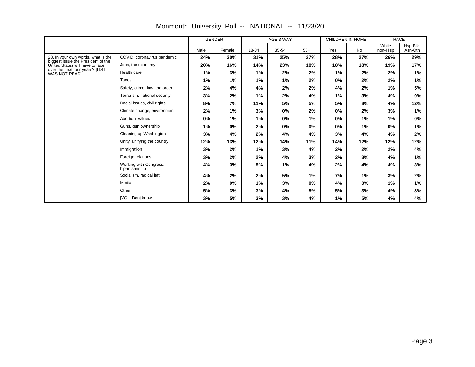|                                                                       |                                          | <b>GENDER</b> |        | AGE 3-WAY |       |       | CHILDREN IN HOME |     |                   | <b>RACE</b>         |
|-----------------------------------------------------------------------|------------------------------------------|---------------|--------|-----------|-------|-------|------------------|-----|-------------------|---------------------|
|                                                                       |                                          | Male          | Female | 18-34     | 35-54 | $55+$ | Yes              | No  | White<br>non-Hisp | Hsp-Blk-<br>Asn-Oth |
| 28. In your own words, what is the                                    | COVID, coronavirus pandemic              | 24%           | 30%    | 31%       | 25%   | 27%   | 28%              | 27% | 26%               | 29%                 |
| biggest issue the President of the<br>United States will have to face | Jobs, the economy                        | 20%           | 16%    | 14%       | 23%   | 18%   | 18%              | 18% | 19%               | 17%                 |
| over the next four years? [LIST<br>WAS NOT READI                      | Health care                              | 1%            | 3%     | 1%        | 2%    | 2%    | 1%               | 2%  | 2%                | 1%                  |
|                                                                       | <b>Taxes</b>                             | 1%            | 1%     | 1%        | 1%    | 2%    | 0%               | 2%  | 2%                | 1%                  |
|                                                                       | Safety, crime, law and order             | 2%            | 4%     | 4%        | 2%    | 2%    | 4%               | 2%  | 1%                | 5%                  |
|                                                                       | Terrorism, national security             | 3%            | 2%     | 1%        | 2%    | 4%    | 1%               | 3%  | 4%                | 0%                  |
|                                                                       | Racial issues, civil rights              | 8%            | 7%     | 11%       | 5%    | 5%    | 5%               | 8%  | 4%                | 12%                 |
|                                                                       | Climate change, environment              | 2%            | 1%     | 3%        | 0%    | 2%    | 0%               | 2%  | 3%                | 1%                  |
|                                                                       | Abortion, values                         | 0%            | 1%     | 1%        | 0%    | 1%    | 0%               | 1%  | 1%                | 0%                  |
|                                                                       | Guns, gun ownership                      | 1%            | 0%     | 2%        | 0%    | 0%    | 0%               | 1%  | 0%                | 1%                  |
|                                                                       | Cleaning up Washington                   | 3%            | 4%     | 2%        | 4%    | 4%    | 3%               | 4%  | 4%                | 2%                  |
|                                                                       | Unity, unifying the country              | 12%           | 13%    | 12%       | 14%   | 11%   | 14%              | 12% | 12%               | 12%                 |
|                                                                       | Immigration                              | 3%            | 2%     | $1\%$     | 3%    | 4%    | 2%               | 2%  | 2%                | 4%                  |
|                                                                       | Foreign relations                        | 3%            | 2%     | 2%        | 4%    | 3%    | 2%               | 3%  | 4%                | 1%                  |
|                                                                       | Working with Congress,<br>bipartisanship | 4%            | 3%     | 5%        | 1%    | 4%    | 2%               | 4%  | 4%                | 3%                  |
|                                                                       | Socialism, radical left                  | 4%            | 2%     | 2%        | 5%    | 1%    | 7%               | 1%  | 3%                | 2%                  |
|                                                                       | Media                                    | 2%            | 0%     | 1%        | 3%    | $0\%$ | 4%               | 0%  | 1%                | 1%                  |
|                                                                       | Other                                    | 5%            | 3%     | 3%        | 4%    | 5%    | 5%               | 3%  | 4%                | 3%                  |
|                                                                       | [VOL] Dont know                          | 3%            | 5%     | 3%        | 3%    | 4%    | 1%               | 5%  | 4%                | 4%                  |

Monmouth University Poll -- NATIONAL -- 11/23/20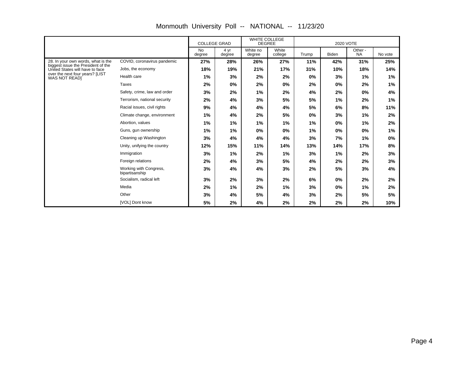|                                                                       |                                          | <b>COLLEGE GRAD</b> |                | <b>WHITE COLLEGE</b><br><b>DEGREE</b> |                  |       |              |                      |         |
|-----------------------------------------------------------------------|------------------------------------------|---------------------|----------------|---------------------------------------|------------------|-------|--------------|----------------------|---------|
|                                                                       |                                          | <b>No</b><br>degree | 4 yr<br>degree | White no<br>degree                    | White<br>college | Trump | <b>Biden</b> | Other -<br><b>NA</b> | No vote |
| 28. In your own words, what is the                                    | COVID, coronavirus pandemic              | 27%                 | 28%            | 26%                                   | 27%              | 11%   | 42%          | 31%                  | 25%     |
| biggest issue the President of the<br>United States will have to face | Jobs, the economy                        | 18%                 | 19%            | 21%                                   | 17%              | 31%   | 10%          | 18%                  | 14%     |
| over the next four years? [LIST<br><b>WAS NOT READI</b>               | Health care                              | 1%                  | 3%             | 2%                                    | 2%               | $0\%$ | 3%           | 1%                   | 1%      |
|                                                                       | Taxes                                    | 2%                  | 0%             | 2%                                    | 0%               | 2%    | $0\%$        | 2%                   | 1%      |
|                                                                       | Safety, crime, law and order             | 3%                  | 2%             | 1%                                    | 2%               | 4%    | 2%           | $0\%$                | 4%      |
|                                                                       | Terrorism, national security             | 2%                  | 4%             | 3%                                    | 5%               | 5%    | 1%           | 2%                   | 1%      |
|                                                                       | Racial issues, civil rights              | 9%                  | 4%             | 4%                                    | 4%               | 5%    | 6%           | 8%                   | 11%     |
|                                                                       | Climate change, environment              | 1%                  | 4%             | 2%                                    | 5%               | 0%    | 3%           | 1%                   | 2%      |
|                                                                       | Abortion, values                         | 1%                  | 1%             | 1%                                    | 1%               | 1%    | 0%           | 1%                   | 2%      |
|                                                                       | Guns, gun ownership                      | 1%                  | 1%             | 0%                                    | 0%               | 1%    | 0%           | 0%                   | 1%      |
|                                                                       | Cleaning up Washington                   | 3%                  | 4%             | 4%                                    | 4%               | 3%    | 7%           | 1%                   | 0%      |
|                                                                       | Unity, unifying the country              | 12%                 | 15%            | 11%                                   | 14%              | 13%   | 14%          | 17%                  | 8%      |
|                                                                       | Immigration                              | 3%                  | 1%             | 2%                                    | 1%               | 3%    | 1%           | 2%                   | 3%      |
|                                                                       | Foreign relations                        | 2%                  | 4%             | 3%                                    | 5%               | 4%    | 2%           | 2%                   | 3%      |
|                                                                       | Working with Congress,<br>bipartisanship | 3%                  | 4%             | 4%                                    | 3%               | 2%    | 5%           | 3%                   | 4%      |
|                                                                       | Socialism, radical left                  | 3%                  | 2%             | 3%                                    | 2%               | 6%    | $0\%$        | 2%                   | 2%      |
|                                                                       | Media                                    | 2%                  | 1%             | 2%                                    | 1%               | 3%    | $0\%$        | 1%                   | 2%      |
|                                                                       | Other                                    | 3%                  | 4%             | 5%                                    | 4%               | 3%    | 2%           | 5%                   | 5%      |
|                                                                       | [VOL] Dont know                          | 5%                  | 2%             | 4%                                    | 2%               | 2%    | 2%           | 2%                   | 10%     |

Monmouth University Poll -- NATIONAL -- 11/23/20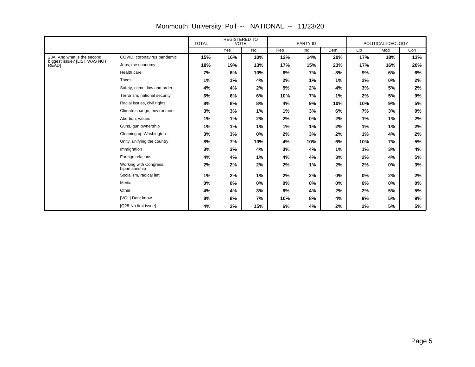|                                       |                                          | <b>TOTAL</b> | <b>REGISTERED TO</b><br><b>VOTE</b> |           | PARTY ID |       | POLITICAL IDEOLOGY |     |       |       |
|---------------------------------------|------------------------------------------|--------------|-------------------------------------|-----------|----------|-------|--------------------|-----|-------|-------|
|                                       |                                          |              | Yes                                 | <b>No</b> | Rep      | Ind   | Dem                | Lib | Mod   | Con   |
| 28A. And what is the second           | COVID, coronavirus pandemic              | 15%          | 16%                                 | 10%       | 12%      | 14%   | 20%                | 17% | 18%   | 13%   |
| biggest issue? [LIST WAS NOT<br>RĚÀD] | Jobs, the economy                        | 18%          | 19%                                 | 13%       | 17%      | 15%   | 23%                | 17% | 16%   | 20%   |
|                                       | Health care                              | 7%           | 6%                                  | 10%       | 6%       | 7%    | 8%                 | 9%  | 6%    | 6%    |
|                                       | Taxes                                    | 1%           | 1%                                  | 4%        | 2%       | 1%    | 1%                 | 2%  | $0\%$ | 2%    |
|                                       | Safety, crime, law and order             | 4%           | 4%                                  | 2%        | 5%       | 2%    | 4%                 | 3%  | 5%    | 2%    |
|                                       | Terrorism, national security             | 6%           | 6%                                  | 6%        | 10%      | 7%    | 1%                 | 2%  | 5%    | 9%    |
|                                       | Racial issues, civil rights              | 8%           | 8%                                  | 8%        | 4%       | 9%    | 10%                | 10% | 9%    | 5%    |
|                                       | Climate change, environment              | 3%           | 3%                                  | 1%        | 1%       | 3%    | 6%                 | 7%  | 3%    | $0\%$ |
|                                       | Abortion, values                         | 1%           | 1%                                  | 2%        | 2%       | $0\%$ | 2%                 | 1%  | 1%    | 2%    |
|                                       | Guns, gun ownership                      | 1%           | 1%                                  | 1%        | 1%       | 1%    | 2%                 | 1%  | 1%    | 2%    |
|                                       | Cleaning up Washington                   | 3%           | 3%                                  | $0\%$     | 2%       | 3%    | 2%                 | 1%  | 4%    | 2%    |
|                                       | Unity, unifying the country              | 8%           | 7%                                  | 10%       | 4%       | 10%   | 6%                 | 10% | 7%    | 5%    |
|                                       | Immigration                              | 3%           | 3%                                  | 4%        | 3%       | 4%    | 1%                 | 1%  | 3%    | 4%    |
|                                       | Foreign relations                        | 4%           | 4%                                  | 1%        | 4%       | 4%    | 3%                 | 2%  | 4%    | 5%    |
|                                       | Working with Congress,<br>bipartisanship | 2%           | 2%                                  | 2%        | 2%       | 1%    | 2%                 | 2%  | $0\%$ | 3%    |
|                                       | Socialism, radical left                  | 1%           | 2%                                  | 1%        | 2%       | 2%    | $0\%$              | 0%  | 2%    | 2%    |
|                                       | Media                                    | 0%           | 0%                                  | 0%        | 0%       | 0%    | 0%                 | 0%  | $0\%$ | 0%    |
|                                       | Other                                    | 4%           | 4%                                  | 3%        | 6%       | 4%    | 2%                 | 2%  | 5%    | 5%    |
|                                       | [VOL] Dont know                          | 8%           | 8%                                  | 7%        | 10%      | 8%    | 4%                 | 9%  | 5%    | 9%    |
|                                       | [Q28-No first issue]                     | 4%           | 2%                                  | 15%       | 6%       | 4%    | 2%                 | 2%  | 5%    | 5%    |

Monmouth University Poll -- NATIONAL -- 11/23/20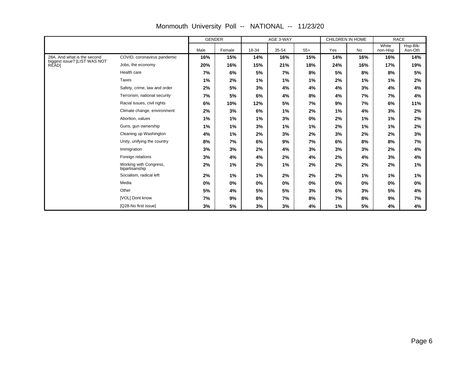|                                              |                                          | <b>GENDER</b> |        |       | AGE 3-WAY |       | CHILDREN IN HOME |     | <b>RACE</b>       |                     |
|----------------------------------------------|------------------------------------------|---------------|--------|-------|-----------|-------|------------------|-----|-------------------|---------------------|
|                                              |                                          | Male          | Female | 18-34 | 35-54     | $55+$ | Yes              | No  | White<br>non-Hisp | Hsp-Blk-<br>Asn-Oth |
| 28A. And what is the second                  | COVID, coronavirus pandemic              | 16%           | 15%    | 14%   | 16%       | 15%   | 14%              | 16% | 16%               | 14%                 |
| biggest issue? [LIST WAS NOT<br><b>RĚĂDI</b> | Jobs, the economy                        | 20%           | 16%    | 15%   | 21%       | 18%   | 24%              | 16% | 17%               | 19%                 |
|                                              | Health care                              | 7%            | 6%     | 5%    | 7%        | 8%    | 5%               | 8%  | 8%                | 5%                  |
|                                              | Taxes                                    | 1%            | 2%     | 1%    | 1%        | 1%    | 2%               | 1%  | 1%                | 2%                  |
|                                              | Safety, crime, law and order             | 2%            | 5%     | 3%    | 4%        | 4%    | 4%               | 3%  | 4%                | 4%                  |
|                                              | Terrorism, national security             | 7%            | 5%     | 6%    | 4%        | 8%    | 4%               | 7%  | 7%                | 4%                  |
|                                              | Racial issues, civil rights              | 6%            | 10%    | 12%   | 5%        | 7%    | 9%               | 7%  | 6%                | 11%                 |
|                                              | Climate change, environment              | 2%            | 3%     | 6%    | 1%        | 2%    | 1%               | 4%  | 3%                | 2%                  |
|                                              | Abortion, values                         | 1%            | 1%     | 1%    | 3%        | 0%    | 2%               | 1%  | 1%                | 2%                  |
|                                              | Guns, gun ownership                      | 1%            | 1%     | 3%    | 1%        | 1%    | 2%               | 1%  | 1%                | 2%                  |
|                                              | Cleaning up Washington                   | 4%            | 1%     | 2%    | 3%        | 2%    | 3%               | 2%  | 2%                | 3%                  |
|                                              | Unity, unifying the country              | 8%            | 7%     | 6%    | 9%        | 7%    | 6%               | 8%  | 8%                | 7%                  |
|                                              | Immigration                              | 3%            | 3%     | 2%    | 4%        | 3%    | 3%               | 3%  | 2%                | 4%                  |
|                                              | Foreign relations                        | 3%            | 4%     | 4%    | 2%        | 4%    | 2%               | 4%  | 3%                | 4%                  |
|                                              | Working with Congress,<br>bipartisanship | 2%            | 1%     | 2%    | 1%        | 2%    | 2%               | 2%  | 2%                | 1%                  |
|                                              | Socialism, radical left                  | 2%            | 1%     | 1%    | 2%        | 2%    | 2%               | 1%  | 1%                | 1%                  |
|                                              | Media                                    | 0%            | 0%     | 0%    | 0%        | 0%    | 0%               | 0%  | 0%                | 0%                  |
|                                              | Other                                    | 5%            | 4%     | 5%    | 5%        | 3%    | 6%               | 3%  | 5%                | 4%                  |
|                                              | [VOL] Dont know                          | 7%            | 9%     | 8%    | 7%        | 8%    | 7%               | 8%  | 9%                | 7%                  |
|                                              | [Q28-No first issue]                     | 3%            | 5%     | 3%    | 3%        | 4%    | 1%               | 5%  | 4%                | 4%                  |

Monmouth University Poll -- NATIONAL -- 11/23/20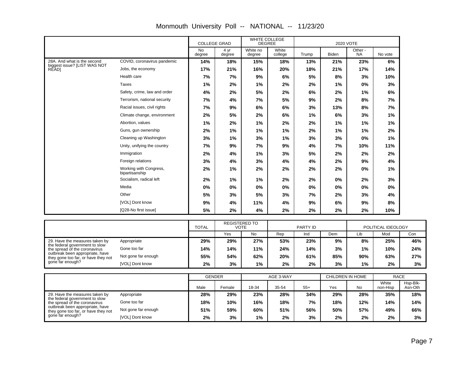|                                       |                                          | <b>COLLEGE GRAD</b> |                | WHITE COLLEGE<br><b>DEGREE</b> |                  |       | 2020 VOTE |                      |         |  |
|---------------------------------------|------------------------------------------|---------------------|----------------|--------------------------------|------------------|-------|-----------|----------------------|---------|--|
|                                       |                                          | <b>No</b><br>degree | 4 yr<br>degree | White no<br>degree             | White<br>college | Trump | Biden     | Other -<br><b>NA</b> | No vote |  |
| 28A. And what is the second           | COVID, coronavirus pandemic              | 14%                 | 18%            | 15%                            | 18%              | 13%   | 21%       | 23%                  | 6%      |  |
| biggest issue? [LIST WAS NOT<br>RĔĂD] | Jobs, the economy                        | 17%                 | 21%            | 16%                            | 20%              | 18%   | 21%       | 17%                  | 14%     |  |
|                                       | Health care                              | 7%                  | 7%             | 9%                             | 6%               | 5%    | 8%        | 3%                   | 10%     |  |
|                                       | <b>Taxes</b>                             | 1%                  | 2%             | 1%                             | 2%               | 2%    | 1%        | $0\%$                | 3%      |  |
|                                       | Safety, crime, law and order             | 4%                  | 2%             | 5%                             | 2%               | 6%    | 2%        | 1%                   | 6%      |  |
|                                       | Terrorism, national security             | 7%                  | 4%             | 7%                             | 5%               | 9%    | 2%        | 8%                   | 7%      |  |
|                                       | Racial issues, civil rights              | 7%                  | 9%             | 6%                             | 6%               | 3%    | 13%       | 8%                   | 7%      |  |
|                                       | Climate change, environment              | 2%                  | 5%             | 2%                             | 6%               | 1%    | 6%        | 3%                   | 1%      |  |
|                                       | Abortion, values                         | 1%                  | 2%             | 1%                             | 2%               | 2%    | 1%        | 1%                   | 1%      |  |
|                                       | Guns, gun ownership                      | 2%                  | 1%             | 1%                             | 1%               | 2%    | 1%        | 1%                   | 2%      |  |
|                                       | Cleaning up Washington                   | 3%                  | 1%             | 3%                             | 1%               | 3%    | 3%        | $0\%$                | 1%      |  |
|                                       | Unity, unifying the country              | 7%                  | 9%             | 7%                             | 9%               | 4%    | 7%        | 10%                  | 11%     |  |
|                                       | Immigration                              | 2%                  | 4%             | 1%                             | 3%               | 5%    | 2%        | 2%                   | 2%      |  |
|                                       | Foreign relations                        | 3%                  | 4%             | 3%                             | 4%               | 4%    | 2%        | 9%                   | 4%      |  |
|                                       | Working with Congress,<br>bipartisanship | 2%                  | 1%             | 2%                             | 2%               | 2%    | 2%        | $0\%$                | 1%      |  |
|                                       | Socialism, radical left                  | 2%                  | 1%             | 1%                             | 2%               | 2%    | 0%        | 2%                   | 3%      |  |
|                                       | Media                                    | $0\%$               | 0%             | 0%                             | $0\%$            | 0%    | 0%        | 0%                   | 0%      |  |
|                                       | Other                                    | 5%                  | 3%             | 5%                             | 3%               | 7%    | 2%        | 3%                   | 4%      |  |
|                                       | [VOL] Dont know                          | 9%                  | 4%             | 11%                            | 4%               | 9%    | 6%        | 9%                   | 8%      |  |
|                                       | [Q28-No first issue]                     | 5%                  | 2%             | 4%                             | 2%               | 2%    | 2%        | 2%                   | 10%     |  |

### Monmouth University Poll -- NATIONAL -- 11/23/20

|                                                                                                                                                                                                 |                     | <b>REGISTERED TO</b><br><b>TOTAL</b><br>VOTE |     | PARTY ID |     |     | POLITICAL IDEOLOGY |       |     |     |
|-------------------------------------------------------------------------------------------------------------------------------------------------------------------------------------------------|---------------------|----------------------------------------------|-----|----------|-----|-----|--------------------|-------|-----|-----|
|                                                                                                                                                                                                 |                     |                                              | Yes | No       | Rep | Ind | Dem                | Lib   | Mod | Con |
| 29. Have the measures taken by<br>the federal government to slow<br>the spread of the coronavirus<br>outbreak been appropriate, have<br>they gone too far, or have they not<br>gone far enough? | Appropriate         | 29%                                          | 29% | 27%      | 53% | 23% | 9%                 | 8%    | 25% | 46% |
|                                                                                                                                                                                                 | Gone too far        | 14%                                          | 14% | 11%      | 24% | 14% | 3%                 | $1\%$ | 10% | 24% |
|                                                                                                                                                                                                 | Not gone far enough | 55%                                          | 54% | 62%      | 20% | 61% | 85%                | 90%   | 63% | 27% |
|                                                                                                                                                                                                 | [VOL] Dont know     | $2\%$                                        | 3%  | 1%       | 2%  | 2%  | 3%                 | $1\%$ | 2%  | 3%  |

|                                                                                                                                                                             |                     | <b>GENDER</b> |        | AGE 3-WAY |       |       |     | CHILDREN IN HOME | <b>RACE</b>       |                     |
|-----------------------------------------------------------------------------------------------------------------------------------------------------------------------------|---------------------|---------------|--------|-----------|-------|-------|-----|------------------|-------------------|---------------------|
|                                                                                                                                                                             |                     | Male          | Female | 18-34     | 35-54 | $55+$ | Yes | No               | White<br>non-Hisp | Hsp-Blk-<br>Asn-Oth |
| 29. Have the measures taken by<br>the federal government to slow<br>the spread of the coronavirus<br>outbreak been appropriate, have<br>they gone too far, or have they not | Appropriate         | 28%           | 29%    | 23%       | 28%   | 34%   | 29% | 28%              | 35%               | 18%                 |
|                                                                                                                                                                             | Gone too far        | 18%           | 10%    | 16%       | 18%   | 7%    | 18% | 12%              | 14%               | 14%                 |
|                                                                                                                                                                             | Not gone far enough | 51%           | 59%    | 60%       | 51%   | 56%   | 50% | 57%              | 49%               | 66%                 |
| gone far enough?                                                                                                                                                            | [VOL] Dont know     | 2%            | 3%     | $1\%$     | 2%    | 3%    | 2%  | 2%               | 2%                | 3%                  |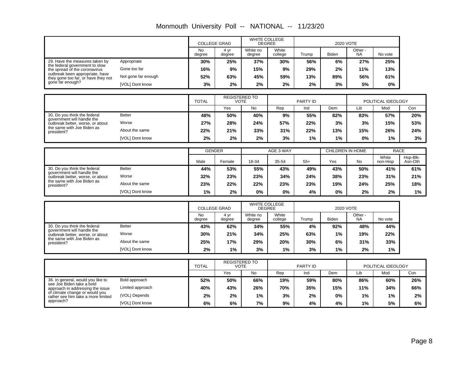|                                                                              |                     | <b>COLLEGE GRAD</b>                                 |                | WHITE COLLEGE<br><b>DEGREE</b> |                  |       | 2020 VOTE        |                      |                    |                     |
|------------------------------------------------------------------------------|---------------------|-----------------------------------------------------|----------------|--------------------------------|------------------|-------|------------------|----------------------|--------------------|---------------------|
|                                                                              |                     | <b>No</b><br>degree                                 | 4 yr<br>degree | White no<br>degree             | White<br>college | Trump | <b>Biden</b>     | Other -<br><b>NA</b> | No vote            |                     |
| 29. Have the measures taken by                                               | Appropriate         | 30%                                                 | 25%            | 37%                            | 30%              | 56%   | 6%               | 27%                  | 25%                |                     |
| the federal government to slow<br>the spread of the coronavirus              | Gone too far        | 16%                                                 | 9%             | 15%                            | 9%               | 29%   | 2%               | 11%                  | 13%                |                     |
| outbreak been appropriate, have<br>they gone too far, or have they not       | Not gone far enough | 52%                                                 | 63%            | 45%                            | 59%              | 13%   | 89%              | 56%                  | 61%                |                     |
| gone far enough?                                                             | [VOL] Dont know     | 3%                                                  | 2%             | 2%                             | 2%               | 2%    | 3%               | 5%                   | 0%                 |                     |
|                                                                              |                     |                                                     |                |                                |                  |       |                  |                      |                    |                     |
|                                                                              |                     | <b>REGISTERED TO</b><br><b>VOTE</b><br><b>TOTAL</b> |                |                                | PARTY ID         |       |                  |                      | POLITICAL IDEOLOGY |                     |
|                                                                              |                     |                                                     | Yes            | <b>No</b>                      | Rep              | Ind   | Dem              | Lib                  | Mod                | Con                 |
| 30. Do you think the federal<br>government will handle the                   | <b>Better</b>       | 48%                                                 | 50%            | 40%                            | 9%               | 55%   | 82%              | 83%                  | 57%                | 20%                 |
| outbreak better, worse, or about                                             | Worse               | 27%                                                 | 28%            | 24%                            | 57%              | 22%   | 3%               | 3%                   | 15%                | 53%                 |
| the same with Joe Biden as<br>president?                                     | About the same      | 22%                                                 | 21%            | 33%                            | 31%              | 22%   | 13%              | 15%                  | 26%                | 24%                 |
|                                                                              | [VOL] Dont know     | 2%                                                  | 2%             | 2%                             | 3%               | 1%    | $1\%$            | 0%                   | $1\%$              | 3%                  |
|                                                                              |                     |                                                     |                |                                |                  |       |                  |                      |                    |                     |
|                                                                              |                     | <b>GENDER</b>                                       |                |                                | AGE 3-WAY        |       | CHILDREN IN HOME |                      |                    | <b>RACE</b>         |
|                                                                              |                     | Male                                                | Female         | 18-34                          | 35-54            | $55+$ | Yes              | No                   | White<br>non-Hisp  | Hsp-Blk-<br>Asn-Oth |
| 30. Do you think the federal<br>government will handle the                   | <b>Better</b>       | 44%                                                 | 53%            | 55%                            | 43%              | 49%   | 43%              | 50%                  | 41%                | 61%                 |
| outbreak better, worse, or about<br>the same with Joe Biden as<br>president? | Worse               | 32%                                                 | 23%            | 23%                            | 34%              | 24%   | 38%              | 23%                  | 31%                | 21%                 |
|                                                                              | About the same      | 23%                                                 | 22%            | 22%                            | 23%              | 23%   | 19%              | 24%                  | 25%                | 18%                 |
|                                                                              | [VOL] Dont know     | $1\%$                                               | 2%             | $0\%$                          | 0%               | 4%    | $0\%$            | 2%                   | 2%                 | 1%                  |
|                                                                              |                     |                                                     |                |                                |                  |       |                  |                      |                    |                     |

Monmouth University Poll -- NATIONAL -- 11/23/20

|                                                                |                 | <b>COLLEGE GRAD</b> |                | <b>WHITE COLLEGE</b><br><b>DEGREE</b> |                  | 2020 VOTE |       |                      |         |  |
|----------------------------------------------------------------|-----------------|---------------------|----------------|---------------------------------------|------------------|-----------|-------|----------------------|---------|--|
|                                                                |                 | <b>No</b><br>degree | 4 vr<br>degree | White no<br>degree                    | White<br>college | Trump     | Biden | Other -<br><b>NA</b> | No vote |  |
| 30. Do you think the federal                                   | <b>Better</b>   | 43%                 | 62%            | 34%                                   | 55%              | 4%        | 92%   | 48%                  | 44%     |  |
| government will handle the<br>outbreak better, worse, or about | Worse           | 30%                 | 21%            | 34%                                   | 25%              | 63%       | 1%    | 19%                  | 22%     |  |
| the same with Joe Biden as<br>president?                       | About the same  | 25%                 | 17%            | 29%                                   | 20%              | 30%       | 6%    | 31%                  | 33%     |  |
|                                                                | [VOL] Dont know | 2%                  | 1%             | 3%                                    | 1%               | 3%        | 1%    | 2%                   | 1%      |  |

|                                                                      |                  | <b>REGISTERED TO</b><br><b>TOTAL</b><br><b>VOTE</b> |     |       | PARTY ID |     |     | POLITICAL IDEOLOGY |     |     |
|----------------------------------------------------------------------|------------------|-----------------------------------------------------|-----|-------|----------|-----|-----|--------------------|-----|-----|
|                                                                      |                  |                                                     | Yes | No.   | Rep      | Ind | Dem | Lib                | Mod | Con |
| 36. In general, would you like to                                    | Bold approach    | 52%                                                 | 50% | 66%   | 19%      | 59% | 80% | 86%                | 60% | 26% |
| see Joe Biden take a bold<br>approach in addressing the issue        | Limited approach | 40%                                                 | 43% | 26%   | 70%      | 35% | 15% | 11%                | 34% | 66% |
| of climate change or would you<br>rather see him take a more limited | (VOL) Depends    | 2%                                                  | 2%  | $1\%$ | 3%       | 2%  | 0%  | $1\%$              | 1%  | 2%  |
| approach?                                                            | [VOL] Dont know  | 6%                                                  | 6%  | 7%    | 9%       | 4%  | 4%  | $1\%$              | 5%  | 6%  |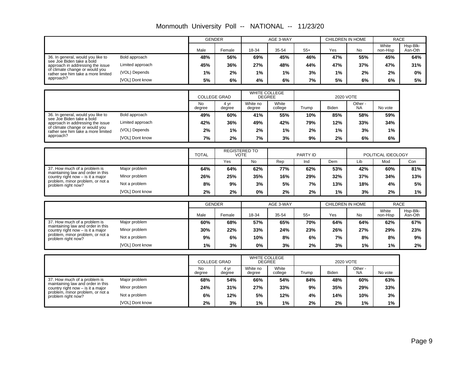|                                                                          |                        |                     | <b>GENDER</b>       |                                     | AGE 3-WAY        |          | CHILDREN IN HOME |                      |                    | <b>RACE</b>         |
|--------------------------------------------------------------------------|------------------------|---------------------|---------------------|-------------------------------------|------------------|----------|------------------|----------------------|--------------------|---------------------|
|                                                                          |                        | Male                | Female              | 18-34                               | 35-54            | $55+$    | Yes              | <b>No</b>            | White<br>non-Hisp  | Hsp-Blk-<br>Asn-Oth |
| 36. In general, would you like to                                        | Bold approach          | 48%                 | 56%                 | 69%                                 | 45%              | 46%      | 47%              | 55%                  | 45%                | 64%                 |
| see Joe Biden take a bold<br>approach in addressing the issue            | Limited approach       | 45%                 | 36%                 | 27%                                 | 48%              | 44%      | 47%              | 37%                  | 47%                | 31%                 |
| of climate change or would you<br>rather see him take a more limited     | (VOL) Depends          | 1%                  | 2%                  | 1%                                  | 1%               | 3%       | 1%               | 2%                   | 2%                 | 0%                  |
| approach?                                                                | <b>IVOLI Dont know</b> | 5%                  | 6%                  | 4%                                  | 6%               | 7%       | 5%               | 6%                   | 6%                 | 5%                  |
|                                                                          |                        |                     |                     |                                     |                  |          |                  |                      |                    |                     |
|                                                                          |                        |                     | <b>COLLEGE GRAD</b> | <b>DEGREE</b>                       | WHITE COLLEGE    |          |                  | 2020 VOTE            |                    |                     |
|                                                                          |                        | <b>No</b><br>degree | 4 yr<br>degree      | White no<br>degree                  | White<br>college | Trump    | <b>Biden</b>     | Other -<br><b>NA</b> | No vote            |                     |
| 36. In general, would you like to                                        | Bold approach          | 49%                 | 60%                 | 41%                                 | 55%              | 10%      | 85%              | 58%                  | 59%                |                     |
| see Joe Biden take a bold<br>approach in addressing the issue            | Limited approach       | 42%                 | 36%                 | 49%                                 | 42%              | 79%      | 12%              | 33%                  | 34%                |                     |
| of climate change or would you<br>rather see him take a more limited     | (VOL) Depends          | 2%                  | 1%                  | 2%                                  | 1%               | 2%       | 1%               | 3%                   | 1%                 |                     |
| approach?                                                                | [VOL] Dont know        | 7%                  | 2%                  | 7%                                  | 3%               | 9%       | 2%               | 6%                   | 6%                 |                     |
|                                                                          |                        |                     |                     |                                     |                  |          |                  |                      |                    |                     |
|                                                                          |                        | <b>TOTAL</b>        |                     | <b>REGISTERED TO</b><br><b>VOTE</b> |                  | PARTY ID |                  |                      | POLITICAL IDEOLOGY |                     |
|                                                                          |                        |                     | Yes                 | No                                  | Rep              | Ind      | Dem              | Lib                  | Mod                | Con                 |
| 37. How much of a problem is<br>maintaining law and order in this        | Major problem          | 64%                 | 64%                 | 62%                                 | 77%              | 62%      | 53%              | 42%                  | 60%                | 81%                 |
| country right now $-$ is it a major                                      | Minor problem          | 26%                 | 25%                 | 35%                                 | 16%              | 29%      | 32%              | 37%                  | 34%                | 13%                 |
| problem, minor problem, or not a<br>problem right now?                   | Not a problem          | 8%                  | 9%                  | 3%                                  | 5%               | 7%       | 13%              | 18%                  | 4%                 | 5%                  |
|                                                                          | [VOL] Dont know        | 2%                  | 2%                  | 0%                                  | 2%               | 2%       | 1%               | 3%                   | 2%                 | 1%                  |
|                                                                          |                        |                     | <b>GENDER</b>       |                                     | AGE 3-WAY        |          | CHILDREN IN HOME |                      |                    | <b>RACE</b>         |
|                                                                          |                        |                     |                     |                                     |                  |          |                  |                      | White              | Hsp-Blk-            |
|                                                                          |                        | Male                | Female              | 18-34                               | 35-54            | $55+$    | Yes              | <b>No</b>            | non-Hisp           | Asn-Oth             |
| 37. How much of a problem is<br>maintaining law and order in this        | Major problem          | 60%                 | 68%                 | 57%                                 | 65%              | 70%      | 64%              | 64%                  | 62%                | 67%                 |
| country right now $-$ is it a major<br>problem, minor problem, or not a  | Minor problem          | 30%                 | 22%                 | 33%                                 | 24%              | 23%      | 26%              | 27%                  | 29%                | 23%                 |
| problem right now?                                                       | Not a problem          | 9%                  | 6%                  | 10%                                 | 8%               | 6%       | 7%               | 8%                   | 8%                 | 9%                  |
|                                                                          | <b>IVOLI Dont know</b> | 1%                  | 3%                  | 0%                                  | 3%               | 2%       | 3%               | 1%                   | 1%                 | 2%                  |
|                                                                          |                        |                     |                     |                                     | WHITE COLLEGE    |          |                  |                      |                    |                     |
|                                                                          |                        |                     | <b>COLLEGE GRAD</b> | <b>DEGREE</b>                       |                  |          |                  | 2020 VOTE            |                    |                     |
|                                                                          |                        | <b>No</b><br>degree | 4 yr<br>degree      | White no<br>degree                  | White<br>college | Trump    | <b>Biden</b>     | Other -<br><b>NA</b> | No vote            |                     |
| 37. How much of a problem is                                             | Major problem          | 68%                 | 54%                 | 66%                                 | 54%              | 84%      | 48%              | 60%                  | 63%                |                     |
| maintaining law and order in this<br>country right now $-$ is it a major | Minor problem          | 24%                 | 31%                 | 27%                                 | 33%              | 9%       | 35%              | 29%                  | 33%                |                     |
| problem, minor problem, or not a<br>problem right now?                   | Not a problem          | 6%                  | 12%                 | 5%                                  | 12%              | 4%       | 14%              | 10%                  | 3%                 |                     |

**2% 3% 1% 1% 2% 2% 1% 1% 6% 12% 5% 12% 4% 14% 10% 3%**

Not a problem [VOL] Dont know

Monmouth University Poll -- NATIONAL -- 11/23/20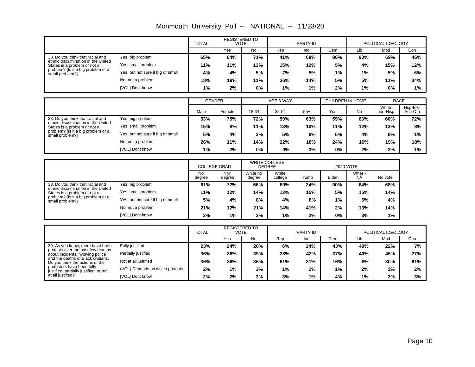|                                                                         |                                   |        | <b>REGISTERED TO</b><br><b>VOTE</b> |           |           | PARTY ID |                  |     | POLITICAL IDEOLOGY |     |
|-------------------------------------------------------------------------|-----------------------------------|--------|-------------------------------------|-----------|-----------|----------|------------------|-----|--------------------|-----|
|                                                                         |                                   |        | Yes                                 | <b>No</b> | Rep       | Ind      | Dem              | Lib | Mod                | Con |
| 38. Do you think that racial and<br>ethnic discrimination in the United | Yes, big problem                  | 65%    | 64%                                 | 71%       | 41%       | 68%      | 86%              | 90% | 69%                | 46% |
| States is a problem or not a                                            | Yes, small problem                | 11%    | 11%                                 | 13%       | 15%       | 12%      | 5%               | 4%  | 15%                | 12% |
| problem? [Is it a big problem or a<br>small problem?]                   | Yes, but not sure if big or small | 4%     | 4%                                  | 5%        | 7%        | 5%       | 1%               | 1%  | 5%                 | 6%  |
|                                                                         | No, not a problem                 | 18%    | 19%                                 | 11%       | 36%       | 14%      | 5%               | 5%  | 11%                | 34% |
|                                                                         | [VOL] Dont know                   | 1%     | $2\%$                               | 0%        | $1\%$     | 1%       | 2%               | 1%  | 0%                 | 1%  |
|                                                                         |                                   |        |                                     |           |           |          |                  |     |                    |     |
|                                                                         |                                   | GENDER |                                     |           | AGE 3-WAY |          | CHILDREN IN HOME |     | RACE               |     |

Monmouth University Poll -- NATIONAL -- 11/23/20

|                                                                     |                                   | <b>GENDER</b> |        |       | AGE 3-WAY |       | CHILDREN IN HOME |     | <b>RACE</b>       |                     |
|---------------------------------------------------------------------|-----------------------------------|---------------|--------|-------|-----------|-------|------------------|-----|-------------------|---------------------|
|                                                                     |                                   | Male          | Female | 18-34 | 35-54     | $55+$ | Yes              | No  | White<br>non-Hisp | Hsp-Blk-<br>Asn-Oth |
| 38. Do you think that racial and                                    | Yes, big problem                  | 53%           | 75%    | 72%   | 59%       | 63%   | 59%              | 66% | 60%               | 72%                 |
| ethnic discrimination in the United<br>States is a problem or not a | Yes, small problem                | 15%           | 8%     | 11%   | 13%       | 10%   | 11%              | 12% | 13%               | 8%                  |
| problem? [Is it a big problem or a<br>small problem?]               | Yes, but not sure if big or small | 5%            | 4%     | 2%    | 5%        | 6%    | 6%               | 4%  | 6%                | $1\%$               |
|                                                                     | No, not a problem                 | 26%           | 11%    | 14%   | 22%       | 18%   | 24%              | 16% | 19%               | 18%                 |
|                                                                     | [VOL] Dont know                   | 1%            | 2%     | $0\%$ | 0%        | 3%    | 0%               | 2%  | 2%                | 1%                  |

|                                                                     |                                   |              | <b>COLLEGE GRAD</b> |                    | <b>WHITE COLLEGE</b><br><b>DEGREE</b> |       | 2020 VOTE    |                      |         |  |
|---------------------------------------------------------------------|-----------------------------------|--------------|---------------------|--------------------|---------------------------------------|-------|--------------|----------------------|---------|--|
|                                                                     |                                   | No<br>degree | 4 yr<br>degree      | White no<br>degree | White<br>college                      | Trump | <b>Biden</b> | Other -<br><b>NA</b> | No vote |  |
| 38. Do you think that racial and                                    | Yes, big problem                  | 61%          | 72%                 | 56%                | 69%                                   | 34%   | 90%          | 64%                  | 68%     |  |
| ethnic discrimination in the United<br>States is a problem or not a | Yes, small problem                | 11%          | 12%                 | 14%                | 13%                                   | 15%   | 5%           | 15%                  | 14%     |  |
| problem? [Is it a big problem or a<br>small problem?]               | Yes, but not sure if big or small | 5%           | 4%                  | 8%                 | 4%                                    | 8%    | 1%           | 5%                   | 4%      |  |
|                                                                     | No, not a problem                 | 21%          | 12%                 | 21%                | 14%                                   | 41%   | 2%           | 13%                  | 14%     |  |
|                                                                     | [VOL] Dont know                   | 2%           | 1%                  | 2%                 | 1%                                    | 2%    | 0%           | 3%                   | 1%      |  |

|                                                                       |                                 |     | <b>REGISTERED TO</b><br>VOTE |           |     | PARTY ID |       |     | POLITICAL IDEOLOGY |     |
|-----------------------------------------------------------------------|---------------------------------|-----|------------------------------|-----------|-----|----------|-------|-----|--------------------|-----|
|                                                                       |                                 |     | Yes                          | <b>No</b> | Rep | Ind      | Dem   | Lib | Mod                | Con |
| 39. As you know, there have been                                      | Fully justified                 | 23% | 24%                          | 20%       | 6%  | 24%      | 43%   | 49% | 22%                | 7%  |
| protests over the past few months<br>about incidents involving police | Partially justified             | 36% | 36%                          | 39%       | 28% | 42%      | 37%   | 40% | 45%                | 27% |
| and the deaths of Black civilians.<br>Do you think the actions of the | Not at all justified            | 36% | 36%                          | 36%       | 61% | 31%      | 16%   | 8%  | 30%                | 61% |
| protestors have been fully<br>justified, partially justified, or not  | (VOL) Depends on which protests | 2%  | 1%                           | 3%        | 1%  | 2%       | $1\%$ | 2%  | 2%                 | 2%  |
| at all justified?                                                     | [VOL] Dont know                 | 2%  | 2%                           | 3%        | 3%  | 1%       | 4%    | 1%  | 2%                 | 3%  |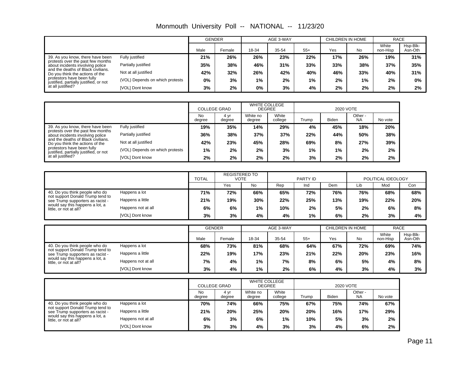|                                                                       |                                 |      | <b>GENDER</b> |       | AGE 3-WAY |       |     | CHILDREN IN HOME | <b>RACE</b>       |                     |
|-----------------------------------------------------------------------|---------------------------------|------|---------------|-------|-----------|-------|-----|------------------|-------------------|---------------------|
|                                                                       |                                 | Male | Female        | 18-34 | 35-54     | $55+$ | Yes | <b>No</b>        | White<br>non-Hisp | Hsp-Blk-<br>Asn-Oth |
| 39. As you know, there have been                                      | Fully justified                 | 21%  | 26%           | 26%   | 23%       | 22%   | 17% | 26%              | 19%               | 31%                 |
| protests over the past few months<br>about incidents involving police | Partially justified             | 35%  | 38%           | 46%   | 31%       | 33%   | 33% | 38%              | 37%               | 35%                 |
| and the deaths of Black civilians.<br>Do you think the actions of the | Not at all justified            | 42%  | 32%           | 26%   | 42%       | 40%   | 46% | 33%              | 40%               | 31%                 |
| protestors have been fully<br>justified, partially justified, or not  | (VOL) Depends on which protests | 0%   | 3%            | $1\%$ | 2%        | 1%    | 2%  | 1%               | 2%                | $0\%$               |
| at all justified?                                                     | <b>IVOLI Dont know</b>          | 3%   | 2%            | $0\%$ | 3%        | 4%    | 2%  | 2%               | $2\%$             | 2%                  |

Monmouth University Poll -- NATIONAL -- 11/23/20

|                                                                       |                                 | <b>COLLEGE GRAD</b> |                | <b>WHITE COLLEGE</b><br><b>DEGREE</b> |                  | 2020 VOTE |              |                      |         |  |
|-----------------------------------------------------------------------|---------------------------------|---------------------|----------------|---------------------------------------|------------------|-----------|--------------|----------------------|---------|--|
|                                                                       |                                 | No<br>degree        | 4 vr<br>degree | White no<br>degree                    | White<br>college | Trump     | <b>Biden</b> | Other -<br><b>NA</b> | No vote |  |
| 39. As you know, there have been                                      | Fully justified                 | 19%                 | 35%            | 14%                                   | 29%              | 4%        | 45%          | 18%                  | 20%     |  |
| protests over the past few months<br>about incidents involving police | Partially justified             | 36%                 | 38%            | 37%                                   | 37%              | 22%       | 44%          | 50%                  | 38%     |  |
| and the deaths of Black civilians.<br>Do you think the actions of the | Not at all justified            | 42%                 | 23%            | 45%                                   | 28%              | 69%       | 8%           | 27%                  | 39%     |  |
| protestors have been fully<br>justified, partially justified, or not  | (VOL) Depends on which protests | $1\%$               | 2%             | 2%                                    | 3%               | 1%        | 1%           | 2%                   | 2%      |  |
| at all justified?                                                     | [VOL] Dont know                 | 2%                  | 2%             | 2%                                    | 2%               | 3%        | 2%           | 2%                   | 2%      |  |

|                                                                      |                    | <b>TOTAL</b> | <b>REGISTERED TO</b><br><b>VOTE</b> |     | PARTY ID |       |     | POLITICAL IDEOLOGY |     |     |  |
|----------------------------------------------------------------------|--------------------|--------------|-------------------------------------|-----|----------|-------|-----|--------------------|-----|-----|--|
|                                                                      |                    |              | Yes                                 | No  | Rep      | Ind   | Dem | Lib                | Mod | Con |  |
| 40. Do you think people who do                                       | Happens a lot      | 71%          | 72%                                 | 66% | 65%      | 72%   | 76% | 76%                | 68% | 68% |  |
| not support Donald Trump tend to<br>see Trump supporters as racist - | Happens a little   | 21%          | 19%                                 | 30% | 22%      | 25%   | 13% | 19%                | 22% | 20% |  |
| would say this happens a lot, a<br>little, or not at all?            | Happens not at all | 6%           | 6%                                  | 1%  | 10%      | 2%    | 5%  | 2%                 | 6%  | 8%  |  |
|                                                                      | [VOL] Dont know    | 3%           | 3%                                  | 4%  | 4%       | $1\%$ | 6%  | 2%                 | 3%  | 4%  |  |

|                                                                      |                    | <b>GENDER</b> |        |       | AGE 3-WAY | CHILDREN IN HOME |     |           | <b>RACE</b>       |                     |
|----------------------------------------------------------------------|--------------------|---------------|--------|-------|-----------|------------------|-----|-----------|-------------------|---------------------|
|                                                                      |                    | Male          | Female | 18-34 | 35-54     | $55+$            | Yes | <b>No</b> | White<br>non-Hisp | Hsp-Blk-<br>Asn-Oth |
| 40. Do you think people who do                                       | Happens a lot      | 68%           | 73%    | 81%   | 68%       | 64%              | 67% | 72%       | 69%               | 74%                 |
| not support Donald Trump tend to<br>see Trump supporters as racist - | Happens a little   | 22%           | 19%    | 17%   | 23%       | 21%              | 22% | 20%       | 23%               | 16%                 |
| would say this happens a lot, a<br>little, or not at all?            | Happens not at all | 7%            | 4%     | 1%    | 7%        | 8%               | 6%  | 5%        | 4%                | 8%                  |
|                                                                      | [VOL] Dont know    | 3%            | 4%     | 1%    | 2%        | 6%               | 4%  | 3%        | 4%                | 3%                  |

|                                                                      |                    | <b>COLLEGE GRAD</b> |                | <b>WHITE COLLEGE</b><br><b>DEGREE</b> |                  | 2020 VOTE |       |                      |         |  |
|----------------------------------------------------------------------|--------------------|---------------------|----------------|---------------------------------------|------------------|-----------|-------|----------------------|---------|--|
|                                                                      |                    | <b>No</b><br>degree | 4 vr<br>degree | White no<br>degree                    | White<br>college | Trump     | Biden | Other -<br><b>NA</b> | No vote |  |
| 40. Do you think people who do                                       | Happens a lot      | 70%                 | 74%            | 66%                                   | 75%              | 67%       | 75%   | 74%                  | 67%     |  |
| not support Donald Trump tend to<br>see Trump supporters as racist - | Happens a little   | 21%                 | 20%            | 25%                                   | 20%              | 20%       | 16%   | 17%                  | 29%     |  |
| would say this happens a lot, a<br>little, or not at all?            | Happens not at all | 6%                  | 3%             | 6%                                    | 1%               | 10%       | 5%    | 3%                   | 2%      |  |
|                                                                      | [VOL] Dont know    | 3%                  | 3%             | 4%                                    | 3%               | 3%        | 4%    | 6%                   | 2%      |  |